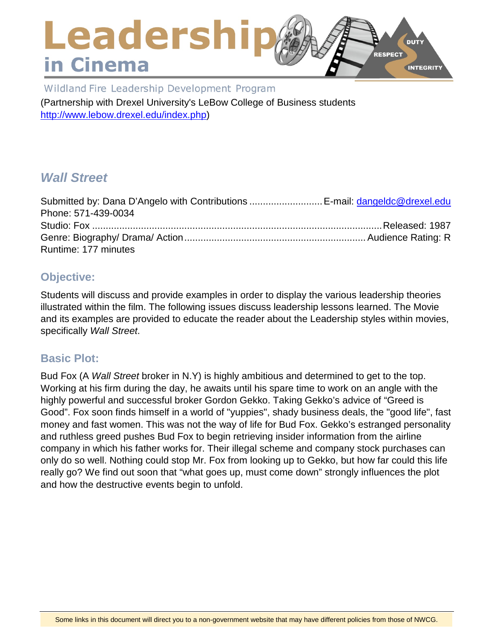### Leadershi **DUTY RESPECT** in Cinema **INTEGRITY**

Wildland Fire Leadership Development Program

(Partnership with Drexel University's LeBow College of Business students [http://www.lebow.drexel.edu/index.php\)](http://www.lebow.drexel.edu/index.php)

# *Wall Street*

| Submitted by: Dana D'Angelo with Contributions  E-mail: dangeldc@drexel.edu |  |
|-----------------------------------------------------------------------------|--|
| Phone: 571-439-0034                                                         |  |
|                                                                             |  |
|                                                                             |  |
| Runtime: 177 minutes                                                        |  |

## **Objective:**

Students will discuss and provide examples in order to display the various leadership theories illustrated within the film. The following issues discuss leadership lessons learned. The Movie and its examples are provided to educate the reader about the Leadership styles within movies, specifically *Wall Street*.

### **Basic Plot:**

Bud Fox (A *Wall Street* broker in N.Y) is highly ambitious and determined to get to the top. Working at his firm during the day, he awaits until his spare time to work on an angle with the highly powerful and successful broker Gordon Gekko. Taking Gekko's advice of "Greed is Good". Fox soon finds himself in a world of "yuppies", shady business deals, the "good life", fast money and fast women. This was not the way of life for Bud Fox. Gekko's estranged personality and ruthless greed pushes Bud Fox to begin retrieving insider information from the airline company in which his father works for. Their illegal scheme and company stock purchases can only do so well. Nothing could stop Mr. Fox from looking up to Gekko, but how far could this life really go? We find out soon that "what goes up, must come down" strongly influences the plot and how the destructive events begin to unfold.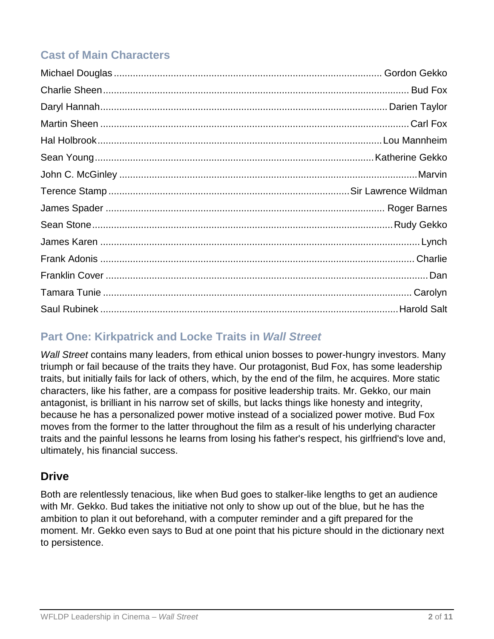# **Cast of Main Characters**

# **Part One: Kirkpatrick and Locke Traits in** *Wall Street*

*Wall Street* contains many leaders, from ethical union bosses to power-hungry investors. Many triumph or fail because of the traits they have. Our protagonist, Bud Fox, has some leadership traits, but initially fails for lack of others, which, by the end of the film, he acquires. More static characters, like his father, are a compass for positive leadership traits. Mr. Gekko, our main antagonist, is brilliant in his narrow set of skills, but lacks things like honesty and integrity, because he has a personalized power motive instead of a socialized power motive. Bud Fox moves from the former to the latter throughout the film as a result of his underlying character traits and the painful lessons he learns from losing his father's respect, his girlfriend's love and, ultimately, his financial success.

## **Drive**

Both are relentlessly tenacious, like when Bud goes to stalker-like lengths to get an audience with Mr. Gekko. Bud takes the initiative not only to show up out of the blue, but he has the ambition to plan it out beforehand, with a computer reminder and a gift prepared for the moment. Mr. Gekko even says to Bud at one point that his picture should in the dictionary next to persistence.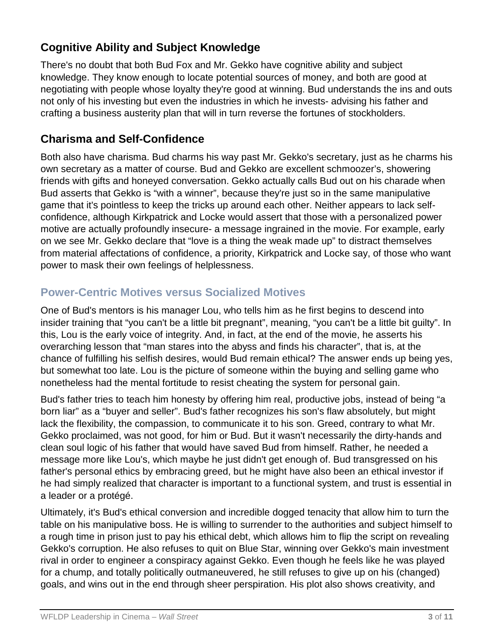## **Cognitive Ability and Subject Knowledge**

There's no doubt that both Bud Fox and Mr. Gekko have cognitive ability and subject knowledge. They know enough to locate potential sources of money, and both are good at negotiating with people whose loyalty they're good at winning. Bud understands the ins and outs not only of his investing but even the industries in which he invests- advising his father and crafting a business austerity plan that will in turn reverse the fortunes of stockholders.

## **Charisma and Self-Confidence**

Both also have charisma. Bud charms his way past Mr. Gekko's secretary, just as he charms his own secretary as a matter of course. Bud and Gekko are excellent schmoozer's, showering friends with gifts and honeyed conversation. Gekko actually calls Bud out on his charade when Bud asserts that Gekko is "with a winner", because they're just so in the same manipulative game that it's pointless to keep the tricks up around each other. Neither appears to lack selfconfidence, although Kirkpatrick and Locke would assert that those with a personalized power motive are actually profoundly insecure- a message ingrained in the movie. For example, early on we see Mr. Gekko declare that "love is a thing the weak made up" to distract themselves from material affectations of confidence, a priority, Kirkpatrick and Locke say, of those who want power to mask their own feelings of helplessness.

## **Power-Centric Motives versus Socialized Motives**

One of Bud's mentors is his manager Lou, who tells him as he first begins to descend into insider training that "you can't be a little bit pregnant", meaning, "you can't be a little bit guilty". In this, Lou is the early voice of integrity. And, in fact, at the end of the movie, he asserts his overarching lesson that "man stares into the abyss and finds his character", that is, at the chance of fulfilling his selfish desires, would Bud remain ethical? The answer ends up being yes, but somewhat too late. Lou is the picture of someone within the buying and selling game who nonetheless had the mental fortitude to resist cheating the system for personal gain.

Bud's father tries to teach him honesty by offering him real, productive jobs, instead of being "a born liar" as a "buyer and seller". Bud's father recognizes his son's flaw absolutely, but might lack the flexibility, the compassion, to communicate it to his son. Greed, contrary to what Mr. Gekko proclaimed, was not good, for him or Bud. But it wasn't necessarily the dirty-hands and clean soul logic of his father that would have saved Bud from himself. Rather, he needed a message more like Lou's, which maybe he just didn't get enough of. Bud transgressed on his father's personal ethics by embracing greed, but he might have also been an ethical investor if he had simply realized that character is important to a functional system, and trust is essential in a leader or a protégé.

Ultimately, it's Bud's ethical conversion and incredible dogged tenacity that allow him to turn the table on his manipulative boss. He is willing to surrender to the authorities and subject himself to a rough time in prison just to pay his ethical debt, which allows him to flip the script on revealing Gekko's corruption. He also refuses to quit on Blue Star, winning over Gekko's main investment rival in order to engineer a conspiracy against Gekko. Even though he feels like he was played for a chump, and totally politically outmaneuvered, he still refuses to give up on his (changed) goals, and wins out in the end through sheer perspiration. His plot also shows creativity, and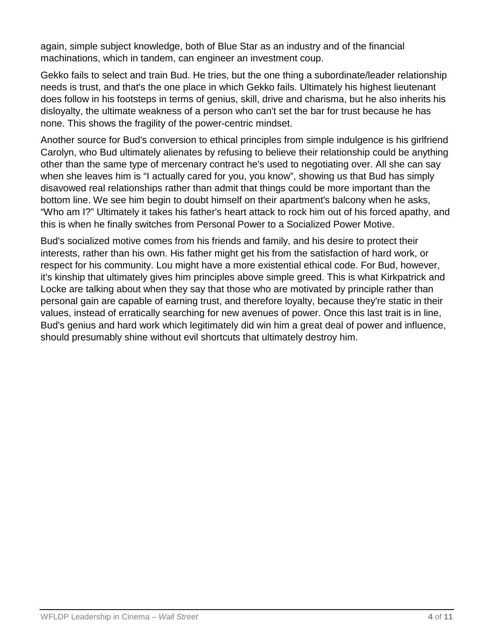again, simple subject knowledge, both of Blue Star as an industry and of the financial machinations, which in tandem, can engineer an investment coup.

Gekko fails to select and train Bud. He tries, but the one thing a subordinate/leader relationship needs is trust, and that's the one place in which Gekko fails. Ultimately his highest lieutenant does follow in his footsteps in terms of genius, skill, drive and charisma, but he also inherits his disloyalty, the ultimate weakness of a person who can't set the bar for trust because he has none. This shows the fragility of the power-centric mindset.

Another source for Bud's conversion to ethical principles from simple indulgence is his girlfriend Carolyn, who Bud ultimately alienates by refusing to believe their relationship could be anything other than the same type of mercenary contract he's used to negotiating over. All she can say when she leaves him is "I actually cared for you, you know", showing us that Bud has simply disavowed real relationships rather than admit that things could be more important than the bottom line. We see him begin to doubt himself on their apartment's balcony when he asks, "Who am I?" Ultimately it takes his father's heart attack to rock him out of his forced apathy, and this is when he finally switches from Personal Power to a Socialized Power Motive.

Bud's socialized motive comes from his friends and family, and his desire to protect their interests, rather than his own. His father might get his from the satisfaction of hard work, or respect for his community. Lou might have a more existential ethical code. For Bud, however, it's kinship that ultimately gives him principles above simple greed. This is what Kirkpatrick and Locke are talking about when they say that those who are motivated by principle rather than personal gain are capable of earning trust, and therefore loyalty, because they're static in their values, instead of erratically searching for new avenues of power. Once this last trait is in line, Bud's genius and hard work which legitimately did win him a great deal of power and influence, should presumably shine without evil shortcuts that ultimately destroy him.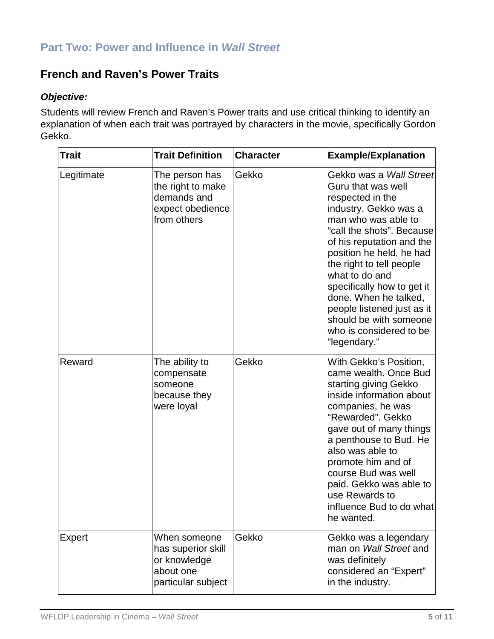## **French and Raven's Power Traits**

#### *Objective:*

Students will review French and Raven's Power traits and use critical thinking to identify an explanation of when each trait was portrayed by characters in the movie, specifically Gordon Gekko.

| <b>Trait</b> | <b>Trait Definition</b>                                                               | <b>Character</b> | <b>Example/Explanation</b>                                                                                                                                                                                                                                                                                                                                                                                             |
|--------------|---------------------------------------------------------------------------------------|------------------|------------------------------------------------------------------------------------------------------------------------------------------------------------------------------------------------------------------------------------------------------------------------------------------------------------------------------------------------------------------------------------------------------------------------|
| Legitimate   | The person has<br>the right to make<br>demands and<br>expect obedience<br>from others | Gekko            | Gekko was a <i>Wall Street</i><br>Guru that was well<br>respected in the<br>industry. Gekko was a<br>man who was able to<br>"call the shots". Because<br>of his reputation and the<br>position he held, he had<br>the right to tell people<br>what to do and<br>specifically how to get it<br>done. When he talked,<br>people listened just as it<br>should be with someone<br>who is considered to be<br>"legendary." |
| Reward       | The ability to<br>compensate<br>someone<br>because they<br>were loyal                 | Gekko            | With Gekko's Position,<br>came wealth. Once Bud<br>starting giving Gekko<br>inside information about<br>companies, he was<br>"Rewarded". Gekko<br>gave out of many things<br>a penthouse to Bud. He<br>also was able to<br>promote him and of<br>course Bud was well<br>paid. Gekko was able to<br>use Rewards to<br>influence Bud to do what<br>he wanted.                                                            |
| Expert       | When someone<br>has superior skill<br>or knowledge<br>about one<br>particular subject | Gekko            | Gekko was a legendary<br>man on Wall Street and<br>was definitely<br>considered an "Expert"<br>in the industry.                                                                                                                                                                                                                                                                                                        |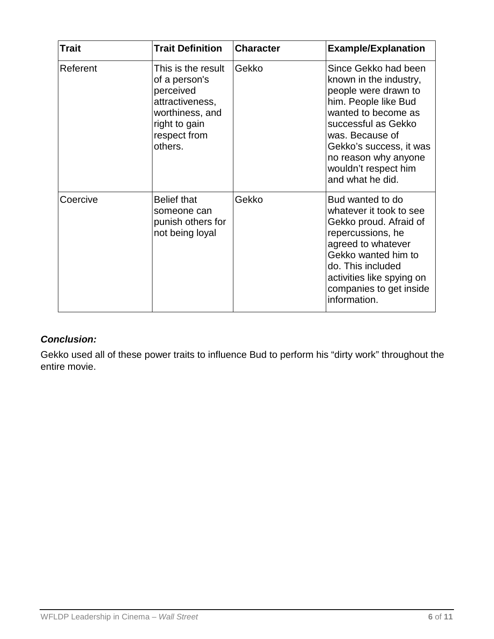| <b>Trait</b> | <b>Trait Definition</b>                                                                                                            | <b>Character</b> | <b>Example/Explanation</b>                                                                                                                                                                                                                                     |
|--------------|------------------------------------------------------------------------------------------------------------------------------------|------------------|----------------------------------------------------------------------------------------------------------------------------------------------------------------------------------------------------------------------------------------------------------------|
| Referent     | This is the result<br>of a person's<br>perceived<br>attractiveness,<br>worthiness, and<br>right to gain<br>respect from<br>others. | Gekko            | Since Gekko had been<br>known in the industry,<br>people were drawn to<br>him. People like Bud<br>wanted to become as<br>successful as Gekko<br>was. Because of<br>Gekko's success, it was<br>no reason why anyone<br>wouldn't respect him<br>and what he did. |
| Coercive     | <b>Belief that</b><br>someone can<br>punish others for<br>not being loyal                                                          | Gekko            | Bud wanted to do<br>whatever it took to see<br>Gekko proud. Afraid of<br>repercussions, he<br>agreed to whatever<br>Gekko wanted him to<br>do. This included<br>activities like spying on<br>companies to get inside<br>information.                           |

#### *Conclusion:*

Gekko used all of these power traits to influence Bud to perform his "dirty work" throughout the entire movie.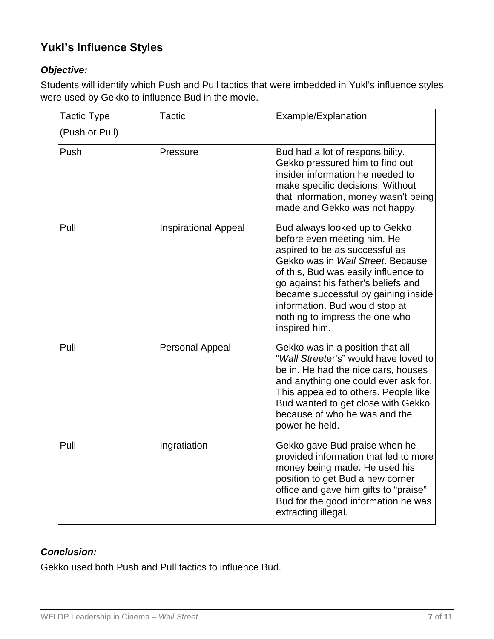# **Yukl's Influence Styles**

#### *Objective:*

Students will identify which Push and Pull tactics that were imbedded in Yukl's influence styles were used by Gekko to influence Bud in the movie.

| <b>Tactic Type</b> | <b>Tactic</b>               | Example/Explanation                                                                                                                                                                                                                                                                                                                            |
|--------------------|-----------------------------|------------------------------------------------------------------------------------------------------------------------------------------------------------------------------------------------------------------------------------------------------------------------------------------------------------------------------------------------|
| (Push or Pull)     |                             |                                                                                                                                                                                                                                                                                                                                                |
| Push               | Pressure                    | Bud had a lot of responsibility.<br>Gekko pressured him to find out<br>insider information he needed to<br>make specific decisions. Without<br>that information, money wasn't being<br>made and Gekko was not happy.                                                                                                                           |
| Pull               | <b>Inspirational Appeal</b> | Bud always looked up to Gekko<br>before even meeting him. He<br>aspired to be as successful as<br>Gekko was in Wall Street. Because<br>of this, Bud was easily influence to<br>go against his father's beliefs and<br>became successful by gaining inside<br>information. Bud would stop at<br>nothing to impress the one who<br>inspired him. |
| Pull               | <b>Personal Appeal</b>      | Gekko was in a position that all<br>"Wall Streeter's" would have loved to<br>be in. He had the nice cars, houses<br>and anything one could ever ask for.<br>This appealed to others. People like<br>Bud wanted to get close with Gekko<br>because of who he was and the<br>power he held.                                                      |
| Pull               | Ingratiation                | Gekko gave Bud praise when he<br>provided information that led to more<br>money being made. He used his<br>position to get Bud a new corner<br>office and gave him gifts to "praise"<br>Bud for the good information he was<br>extracting illegal.                                                                                             |

### *Conclusion:*

Gekko used both Push and Pull tactics to influence Bud.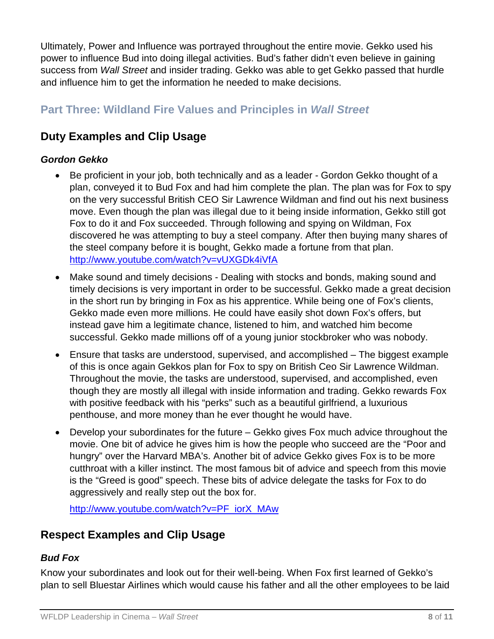Ultimately, Power and Influence was portrayed throughout the entire movie. Gekko used his power to influence Bud into doing illegal activities. Bud's father didn't even believe in gaining success from *Wall Street* and insider trading. Gekko was able to get Gekko passed that hurdle and influence him to get the information he needed to make decisions.

# **Part Three: Wildland Fire Values and Principles in** *Wall Street*

## **Duty Examples and Clip Usage**

#### *Gordon Gekko*

- Be proficient in your job, both technically and as a leader Gordon Gekko thought of a plan, conveyed it to Bud Fox and had him complete the plan. The plan was for Fox to spy on the very successful British CEO Sir Lawrence Wildman and find out his next business move. Even though the plan was illegal due to it being inside information, Gekko still got Fox to do it and Fox succeeded. Through following and spying on Wildman, Fox discovered he was attempting to buy a steel company. After then buying many shares of the steel company before it is bought, Gekko made a fortune from that plan. <http://www.youtube.com/watch?v=vUXGDk4iVfA>
- Make sound and timely decisions Dealing with stocks and bonds, making sound and timely decisions is very important in order to be successful. Gekko made a great decision in the short run by bringing in Fox as his apprentice. While being one of Fox's clients, Gekko made even more millions. He could have easily shot down Fox's offers, but instead gave him a legitimate chance, listened to him, and watched him become successful. Gekko made millions off of a young junior stockbroker who was nobody.
- Ensure that tasks are understood, supervised, and accomplished The biggest example of this is once again Gekkos plan for Fox to spy on British Ceo Sir Lawrence Wildman. Throughout the movie, the tasks are understood, supervised, and accomplished, even though they are mostly all illegal with inside information and trading. Gekko rewards Fox with positive feedback with his "perks" such as a beautiful girlfriend, a luxurious penthouse, and more money than he ever thought he would have.
- Develop your subordinates for the future Gekko gives Fox much advice throughout the movie. One bit of advice he gives him is how the people who succeed are the "Poor and hungry" over the Harvard MBA's. Another bit of advice Gekko gives Fox is to be more cutthroat with a killer instinct. The most famous bit of advice and speech from this movie is the "Greed is good" speech. These bits of advice delegate the tasks for Fox to do aggressively and really step out the box for.

[http://www.youtube.com/watch?v=PF\\_iorX\\_MAw](http://www.youtube.com/watch?v=PF_iorX_MAw)

## **Respect Examples and Clip Usage**

### *Bud Fox*

Know your subordinates and look out for their well-being. When Fox first learned of Gekko's plan to sell Bluestar Airlines which would cause his father and all the other employees to be laid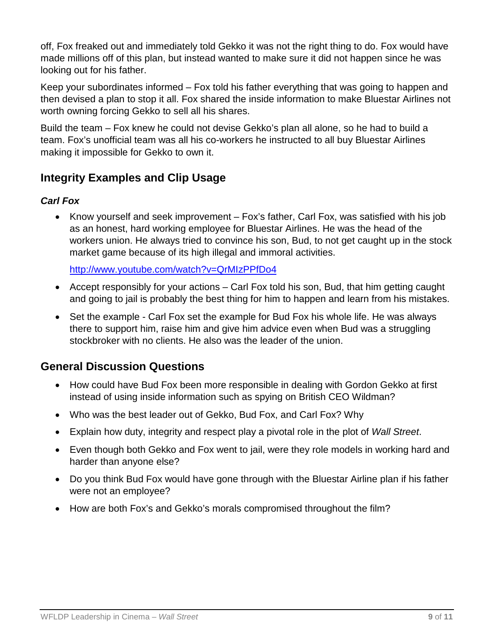off, Fox freaked out and immediately told Gekko it was not the right thing to do. Fox would have made millions off of this plan, but instead wanted to make sure it did not happen since he was looking out for his father.

Keep your subordinates informed – Fox told his father everything that was going to happen and then devised a plan to stop it all. Fox shared the inside information to make Bluestar Airlines not worth owning forcing Gekko to sell all his shares.

Build the team – Fox knew he could not devise Gekko's plan all alone, so he had to build a team. Fox's unofficial team was all his co-workers he instructed to all buy Bluestar Airlines making it impossible for Gekko to own it.

## **Integrity Examples and Clip Usage**

#### *Carl Fox*

• Know yourself and seek improvement – Fox's father, Carl Fox, was satisfied with his job as an honest, hard working employee for Bluestar Airlines. He was the head of the workers union. He always tried to convince his son, Bud, to not get caught up in the stock market game because of its high illegal and immoral activities.

<http://www.youtube.com/watch?v=QrMIzPPfDo4>

- Accept responsibly for your actions Carl Fox told his son, Bud, that him getting caught and going to jail is probably the best thing for him to happen and learn from his mistakes.
- Set the example Carl Fox set the example for Bud Fox his whole life. He was always there to support him, raise him and give him advice even when Bud was a struggling stockbroker with no clients. He also was the leader of the union.

### **General Discussion Questions**

- How could have Bud Fox been more responsible in dealing with Gordon Gekko at first instead of using inside information such as spying on British CEO Wildman?
- Who was the best leader out of Gekko, Bud Fox, and Carl Fox? Why
- Explain how duty, integrity and respect play a pivotal role in the plot of *Wall Street*.
- Even though both Gekko and Fox went to jail, were they role models in working hard and harder than anyone else?
- Do you think Bud Fox would have gone through with the Bluestar Airline plan if his father were not an employee?
- How are both Fox's and Gekko's morals compromised throughout the film?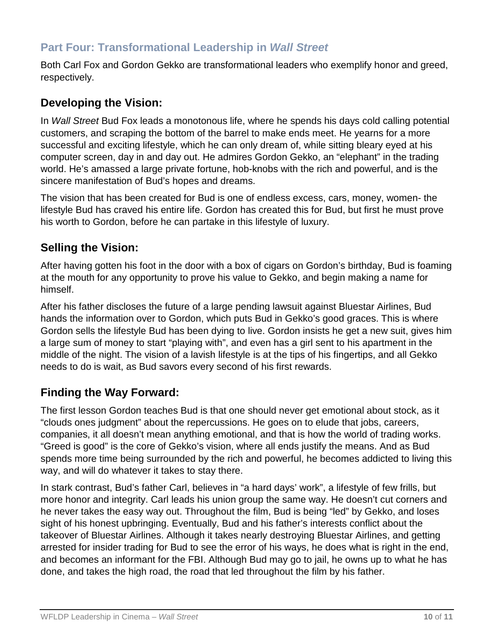## **Part Four: Transformational Leadership in** *Wall Street*

Both Carl Fox and Gordon Gekko are transformational leaders who exemplify honor and greed, respectively.

#### **Developing the Vision:**

In *Wall Street* Bud Fox leads a monotonous life, where he spends his days cold calling potential customers, and scraping the bottom of the barrel to make ends meet. He yearns for a more successful and exciting lifestyle, which he can only dream of, while sitting bleary eyed at his computer screen, day in and day out. He admires Gordon Gekko, an "elephant" in the trading world. He's amassed a large private fortune, hob-knobs with the rich and powerful, and is the sincere manifestation of Bud's hopes and dreams.

The vision that has been created for Bud is one of endless excess, cars, money, women- the lifestyle Bud has craved his entire life. Gordon has created this for Bud, but first he must prove his worth to Gordon, before he can partake in this lifestyle of luxury.

#### **Selling the Vision:**

After having gotten his foot in the door with a box of cigars on Gordon's birthday, Bud is foaming at the mouth for any opportunity to prove his value to Gekko, and begin making a name for himself.

After his father discloses the future of a large pending lawsuit against Bluestar Airlines, Bud hands the information over to Gordon, which puts Bud in Gekko's good graces. This is where Gordon sells the lifestyle Bud has been dying to live. Gordon insists he get a new suit, gives him a large sum of money to start "playing with", and even has a girl sent to his apartment in the middle of the night. The vision of a lavish lifestyle is at the tips of his fingertips, and all Gekko needs to do is wait, as Bud savors every second of his first rewards.

### **Finding the Way Forward:**

The first lesson Gordon teaches Bud is that one should never get emotional about stock, as it "clouds ones judgment" about the repercussions. He goes on to elude that jobs, careers, companies, it all doesn't mean anything emotional, and that is how the world of trading works. "Greed is good" is the core of Gekko's vision, where all ends justify the means. And as Bud spends more time being surrounded by the rich and powerful, he becomes addicted to living this way, and will do whatever it takes to stay there.

In stark contrast, Bud's father Carl, believes in "a hard days' work", a lifestyle of few frills, but more honor and integrity. Carl leads his union group the same way. He doesn't cut corners and he never takes the easy way out. Throughout the film, Bud is being "led" by Gekko, and loses sight of his honest upbringing. Eventually, Bud and his father's interests conflict about the takeover of Bluestar Airlines. Although it takes nearly destroying Bluestar Airlines, and getting arrested for insider trading for Bud to see the error of his ways, he does what is right in the end, and becomes an informant for the FBI. Although Bud may go to jail, he owns up to what he has done, and takes the high road, the road that led throughout the film by his father.